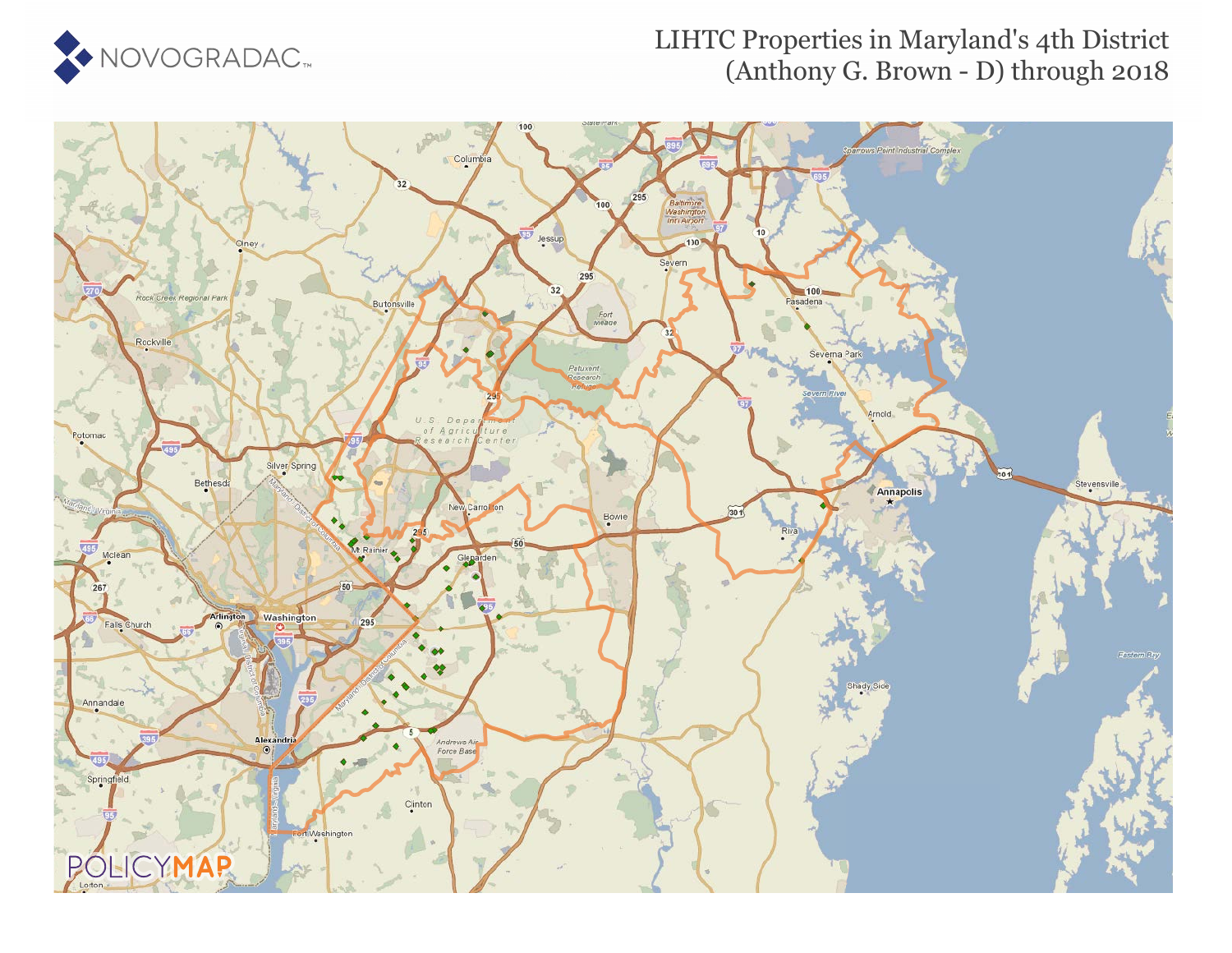

### LIHTC Properties in Maryland's 4th District (Anthony G. Brown - D) through 2018

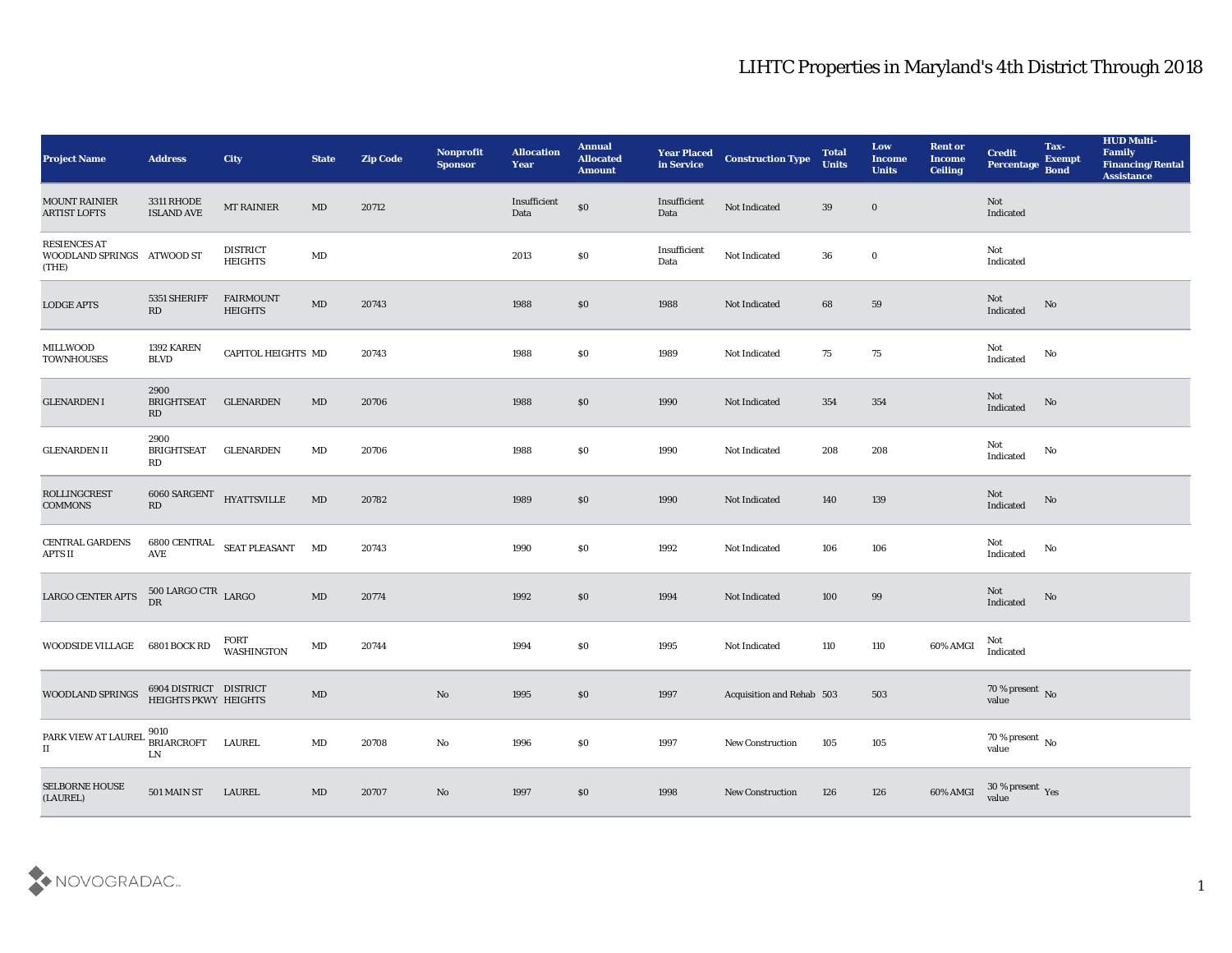| <b>Project Name</b>                                 | <b>Address</b>                                               | <b>City</b>                       | <b>State</b>           | <b>Zip Code</b> | Nonprofit<br><b>Sponsor</b> | <b>Allocation</b><br><b>Year</b> | <b>Annual</b><br><b>Allocated</b><br><b>Amount</b> | <b>Year Placed<br/>in Service</b> | <b>Construction Type</b>  | <b>Total</b><br><b>Units</b> | Low<br><b>Income</b><br><b>Units</b> | <b>Rent or</b><br><b>Income</b><br><b>Ceiling</b> | <b>Credit</b><br>Percentage        | Tax-<br><b>Exempt</b><br><b>Bond</b> | <b>HUD Multi-</b><br>Family<br><b>Financing/Rental</b><br><b>Assistance</b> |
|-----------------------------------------------------|--------------------------------------------------------------|-----------------------------------|------------------------|-----------------|-----------------------------|----------------------------------|----------------------------------------------------|-----------------------------------|---------------------------|------------------------------|--------------------------------------|---------------------------------------------------|------------------------------------|--------------------------------------|-----------------------------------------------------------------------------|
| <b>MOUNT RAINIER</b><br><b>ARTIST LOFTS</b>         | <b>3311 RHODE</b><br><b>ISLAND AVE</b>                       | <b>MT RAINIER</b>                 | MD                     | 20712           |                             | Insufficient<br>Data             | $\$0$                                              | Insufficient<br>Data              | Not Indicated             | 39                           | $\bf{0}$                             |                                                   | Not<br>Indicated                   |                                      |                                                                             |
| RESIENCES AT<br>WOODLAND SPRINGS ATWOOD ST<br>(THE) |                                                              | <b>DISTRICT</b><br><b>HEIGHTS</b> | $\mathbf{M}\mathbf{D}$ |                 |                             | 2013                             | $\$0$                                              | Insufficient<br>Data              | Not Indicated             | 36                           | $\bf{0}$                             |                                                   | Not<br>Indicated                   |                                      |                                                                             |
| <b>LODGE APTS</b>                                   | 5351 SHERIFF<br>RD                                           | FAIRMOUNT<br><b>HEIGHTS</b>       | $\mathbf{M}\mathbf{D}$ | 20743           |                             | 1988                             | $\$0$                                              | 1988                              | Not Indicated             | 68                           | 59                                   |                                                   | Not<br>Indicated                   | No                                   |                                                                             |
| MILLWOOD<br><b>TOWNHOUSES</b>                       | 1392 KAREN<br><b>BLVD</b>                                    | CAPITOL HEIGHTS MD                |                        | 20743           |                             | 1988                             | \$0                                                | 1989                              | Not Indicated             | 75                           | 75                                   |                                                   | Not<br>Indicated                   | No                                   |                                                                             |
| <b>GLENARDEN I</b>                                  | 2900<br><b>BRIGHTSEAT</b><br>RD                              | <b>GLENARDEN</b>                  | MD                     | 20706           |                             | 1988                             | $\$0$                                              | 1990                              | Not Indicated             | 354                          | 354                                  |                                                   | Not<br>Indicated                   | No                                   |                                                                             |
| <b>GLENARDEN II</b>                                 | 2900<br><b>BRIGHTSEAT</b><br>RD                              | GLENARDEN                         | MD                     | 20706           |                             | 1988                             | \$0                                                | 1990                              | Not Indicated             | 208                          | 208                                  |                                                   | Not<br>$\operatorname{Indicated}$  | No                                   |                                                                             |
| ROLLINGCREST<br><b>COMMONS</b>                      | $6060$ SARGENT $$\tt HYATTSVILLE$$<br>$\mathbf{R}\mathbf{D}$ |                                   | $\mathbf{M}\mathbf{D}$ | 20782           |                             | 1989                             | $\$0$                                              | 1990                              | Not Indicated             | 140                          | 139                                  |                                                   | Not<br>Indicated                   | No                                   |                                                                             |
| CENTRAL GARDENS<br>APTS II                          | <b>AVE</b>                                                   | 6800 CENTRAL SEAT PLEASANT MD     |                        | 20743           |                             | 1990                             | \$0                                                | 1992                              | Not Indicated             | 106                          | ${\bf 106}$                          |                                                   | Not<br>Indicated                   | No                                   |                                                                             |
| LARGO CENTER APTS                                   | $500$ LARGO CTR $_{\rm LARGO}$<br>DR                         |                                   | $\mathbf{M}\mathbf{D}$ | 20774           |                             | 1992                             | $\$0$                                              | 1994                              | Not Indicated             | 100                          | 99                                   |                                                   | Not<br>Indicated                   | No                                   |                                                                             |
| WOODSIDE VILLAGE                                    | 6801 BOCK RD                                                 | FORT<br>WASHINGTON                | MD                     | 20744           |                             | 1994                             | \$0\$                                              | 1995                              | Not Indicated             | 110                          | $110\,$                              | 60% AMGI                                          | Not<br>Indicated                   |                                      |                                                                             |
| WOODLAND SPRINGS                                    | 6904 DISTRICT DISTRICT<br>HEIGHTS PKWY HEIGHTS               |                                   | $\mathbf{M}\mathbf{D}$ |                 | No                          | 1995                             | \$0                                                | 1997                              | Acquisition and Rehab 503 |                              | 503                                  |                                                   | $70$ % present $\,$ No $\,$ value  |                                      |                                                                             |
| PARK VIEW AT LAUREL<br>$_{\rm II}$                  | 9010<br><b>BRIARCROFT</b><br>${\rm LN}$                      | LAUREL                            | MD                     | 20708           | $\rm\thinspace No$          | 1996                             | $\$0$                                              | 1997                              | New Construction          | 105                          | $105\,$                              |                                                   | 70 % present $\,$ No $\,$<br>value |                                      |                                                                             |
| SELBORNE HOUSE<br>(LAUREL)                          | 501 MAIN ST                                                  | LAUREL                            | $\mathbf{M}\mathbf{D}$ | 20707           | $\mathbf{N}\mathbf{o}$      | 1997                             | $\$0$                                              | 1998                              | <b>New Construction</b>   | 126                          | 126                                  | 60% AMGI                                          | $30\,\%$ present $\,$ Yes value    |                                      |                                                                             |

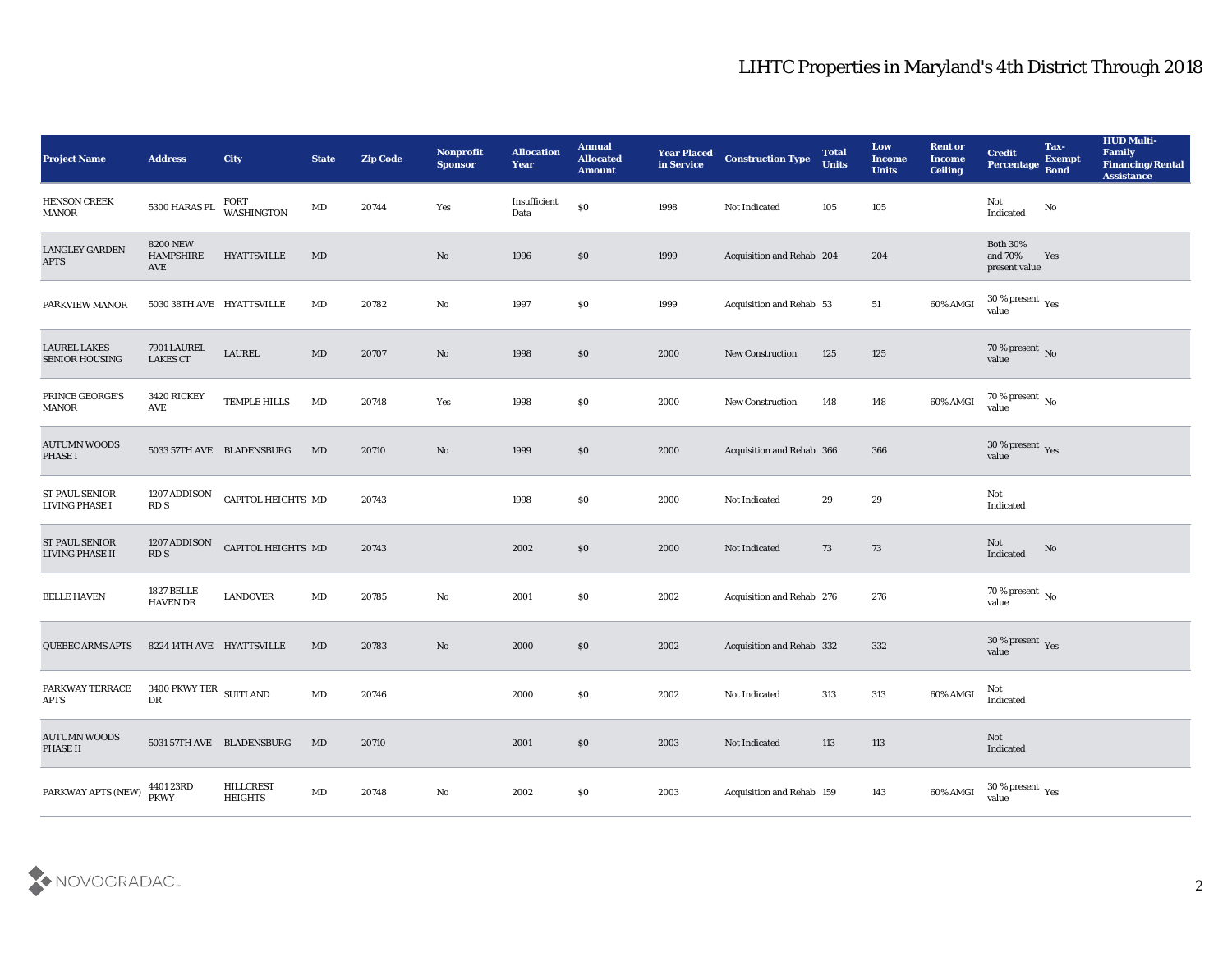| <b>Project Name</b>                          | <b>Address</b>                             | <b>City</b>                        | <b>State</b>           | <b>Zip Code</b> | Nonprofit<br><b>Sponsor</b> | <b>Allocation</b><br><b>Year</b> | <b>Annual</b><br><b>Allocated</b><br><b>Amount</b> | <b>Year Placed</b><br>in Service | <b>Construction Type</b>  | <b>Total</b><br><b>Units</b> | Low<br><b>Income</b><br><b>Units</b> | <b>Rent or</b><br>Income<br><b>Ceiling</b> | <b>Credit</b><br>Percentage                   | Tax-<br><b>Exempt</b><br><b>Bond</b> | <b>HUD Multi-</b><br>Family<br><b>Financing/Rental</b><br><b>Assistance</b> |
|----------------------------------------------|--------------------------------------------|------------------------------------|------------------------|-----------------|-----------------------------|----------------------------------|----------------------------------------------------|----------------------------------|---------------------------|------------------------------|--------------------------------------|--------------------------------------------|-----------------------------------------------|--------------------------------------|-----------------------------------------------------------------------------|
| <b>HENSON CREEK</b><br><b>MANOR</b>          | 5300 HARAS PL                              | FORT<br><b>WASHINGTON</b>          | MD                     | 20744           | Yes                         | Insufficient<br>Data             | \$0                                                | 1998                             | Not Indicated             | 105                          | 105                                  |                                            | Not<br>$\operatorname{Indicated}$             | No                                   |                                                                             |
| <b>LANGLEY GARDEN</b><br><b>APTS</b>         | <b>8200 NEW</b><br><b>HAMPSHIRE</b><br>AVE | <b>HYATTSVILLE</b>                 | MD                     |                 | No                          | 1996                             | $\$0$                                              | 1999                             | Acquisition and Rehab 204 |                              | 204                                  |                                            | <b>Both 30%</b><br>and 70%<br>present value   | Yes                                  |                                                                             |
| PARKVIEW MANOR                               | 5030 38TH AVE HYATTSVILLE                  |                                    | MD                     | 20782           | No                          | 1997                             | <b>SO</b>                                          | 1999                             | Acquisition and Rehab 53  |                              | 51                                   | 60% AMGI                                   | 30 % present $\,\rm \gamma_{\rm es}$<br>value |                                      |                                                                             |
| <b>LAUREL LAKES</b><br><b>SENIOR HOUSING</b> | 7901 LAUREL<br><b>LAKES CT</b>             | <b>LAUREL</b>                      | MD                     | 20707           | No                          | 1998                             | $\$0$                                              | 2000                             | <b>New Construction</b>   | 125                          | 125                                  |                                            | $70\,\%$ present $\,$ No value                |                                      |                                                                             |
| PRINCE GEORGE'S<br><b>MANOR</b>              | 3420 RICKEY<br>AVE                         | TEMPLE HILLS                       | MD                     | 20748           | Yes                         | 1998                             | $\$0$                                              | 2000                             | <b>New Construction</b>   | 148                          | 148                                  | 60% AMGI                                   | $70\,\%$ present $\,$ No value                |                                      |                                                                             |
| <b>AUTUMN WOODS</b><br>PHASE I               |                                            | 5033 57TH AVE BLADENSBURG          | MD                     | 20710           | No                          | 1999                             | \$0                                                | 2000                             | Acquisition and Rehab 366 |                              | 366                                  |                                            | 30 % present $_{\rm Yes}$<br>value            |                                      |                                                                             |
| <b>ST PAUL SENIOR</b><br>LIVING PHASE I      | 1207 ADDISON<br>RD <sub>S</sub>            | <b>CAPITOL HEIGHTS MD</b>          |                        | 20743           |                             | 1998                             | $\$0$                                              | 2000                             | Not Indicated             | 29                           | 29                                   |                                            | Not<br>Indicated                              |                                      |                                                                             |
| <b>ST PAUL SENIOR</b><br>LIVING PHASE II     | 1207 ADDISON<br>RD <sub>S</sub>            | <b>CAPITOL HEIGHTS MD</b>          |                        | 20743           |                             | 2002                             | \$0                                                | 2000                             | Not Indicated             | 73                           | 73                                   |                                            | Not<br>Indicated                              | No                                   |                                                                             |
| <b>BELLE HAVEN</b>                           | <b>1827 BELLE</b><br><b>HAVEN DR</b>       | LANDOVER                           | MD                     | 20785           | No                          | 2001                             | $\$0$                                              | 2002                             | Acquisition and Rehab 276 |                              | 276                                  |                                            | 70 % present No<br>value                      |                                      |                                                                             |
| <b>QUEBEC ARMS APTS</b>                      | 8224 14TH AVE HYATTSVILLE                  |                                    | MD                     | 20783           | No                          | 2000                             | $\$0$                                              | 2002                             | Acquisition and Rehab 332 |                              | 332                                  |                                            | $30\,\%$ present $\,$ Yes value               |                                      |                                                                             |
| PARKWAY TERRACE<br><b>APTS</b>               | 3400 PKWY TER $_{\rm~SUITLAND}$<br>DR      |                                    | MD                     | 20746           |                             | 2000                             | \$0                                                | 2002                             | Not Indicated             | 313                          | 313                                  | 60% AMGI                                   | Not<br>Indicated                              |                                      |                                                                             |
| <b>AUTUMN WOODS</b><br>PHASE II              |                                            | 5031 57TH AVE BLADENSBURG          | MD                     | 20710           |                             | 2001                             | \$0                                                | 2003                             | Not Indicated             | 113                          | $113\,$                              |                                            | Not<br>Indicated                              |                                      |                                                                             |
| PARKWAY APTS (NEW)                           | 4401 23RD<br><b>PKWY</b>                   | <b>HILLCREST</b><br><b>HEIGHTS</b> | $\mathbf{M}\mathbf{D}$ | 20748           | ${\bf No}$                  | 2002                             | $\$0$                                              | 2003                             | Acquisition and Rehab 159 |                              | 143                                  | 60% AMGI                                   | 30 % present $_{\rm Yes}$<br>value            |                                      |                                                                             |

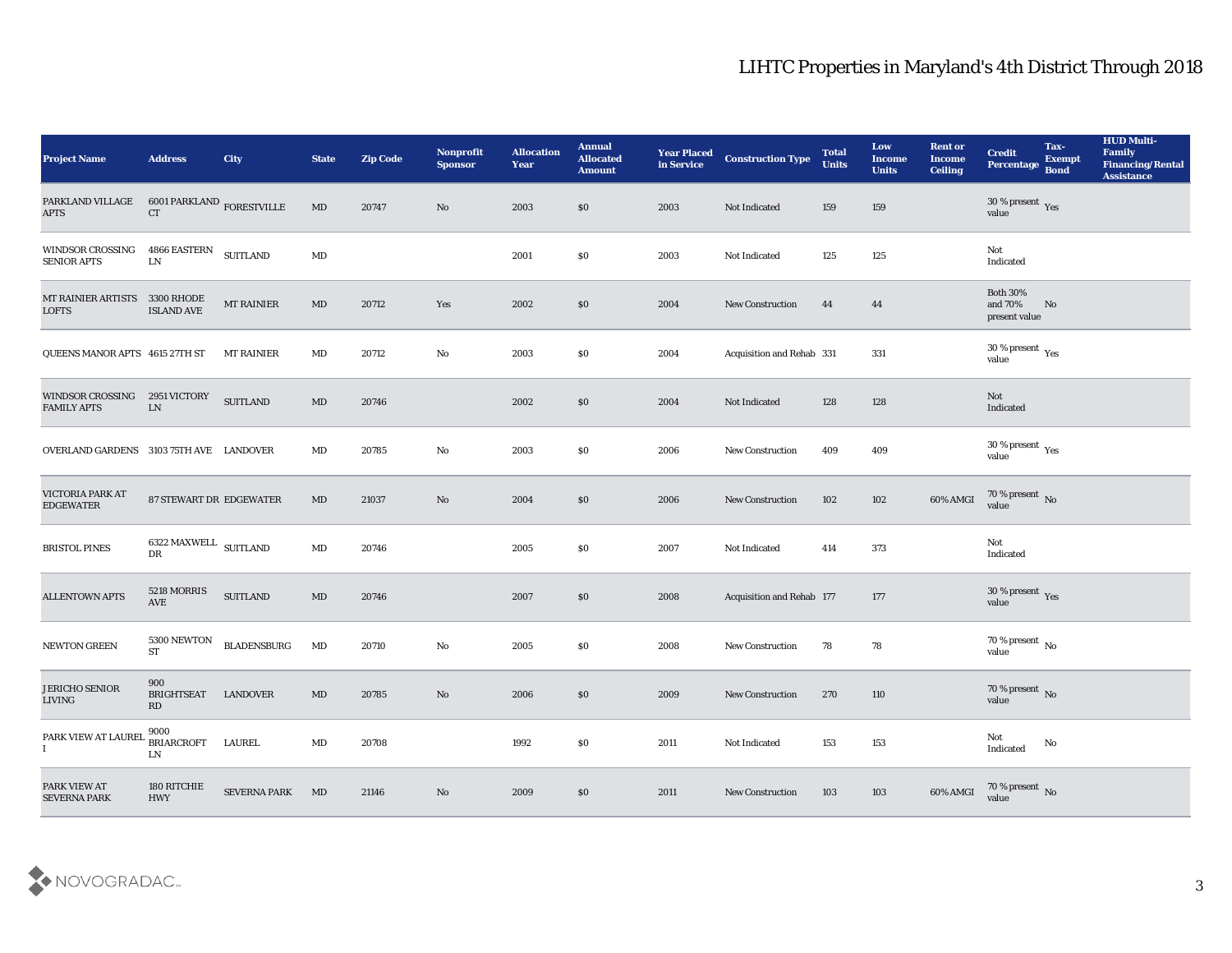| <b>Project Name</b>                           | <b>Address</b>                             | City                | <b>State</b>           | <b>Zip Code</b> | <b>Nonprofit</b><br><b>Sponsor</b> | <b>Allocation</b><br><b>Year</b> | <b>Annual</b><br><b>Allocated</b><br><b>Amount</b> | <b>Year Placed</b><br>in Service | <b>Construction Type</b>         | <b>Total</b><br><b>Units</b> | Low<br><b>Income</b><br><b>Units</b> | <b>Rent or</b><br><b>Income</b><br><b>Ceiling</b> | <b>Credit</b><br><b>Percentage</b>          | Tax-<br><b>Exempt</b><br><b>Bond</b> | <b>HUD Multi-</b><br>Family<br><b>Financing/Rental</b><br><b>Assistance</b> |
|-----------------------------------------------|--------------------------------------------|---------------------|------------------------|-----------------|------------------------------------|----------------------------------|----------------------------------------------------|----------------------------------|----------------------------------|------------------------------|--------------------------------------|---------------------------------------------------|---------------------------------------------|--------------------------------------|-----------------------------------------------------------------------------|
| PARKLAND VILLAGE<br>$\rm APTS$                | $6001$ PARKLAND $_{\rm FORESTVILLE}$<br>CT |                     | $\rm MD$               | 20747           | No                                 | 2003                             | $\$0$                                              | 2003                             | Not Indicated                    | 159                          | 159                                  |                                                   | 30 % present $_{\rm Yes}$<br>value          |                                      |                                                                             |
| <b>WINDSOR CROSSING</b><br><b>SENIOR APTS</b> | 4866 EASTERN<br>${\rm LN}$                 | <b>SUITLAND</b>     | $\rm MD$               |                 |                                    | 2001                             | $\$0$                                              | 2003                             | Not Indicated                    | 125                          | 125                                  |                                                   | Not<br>Indicated                            |                                      |                                                                             |
| MT RAINIER ARTISTS 3300 RHODE<br><b>LOFTS</b> | <b>ISLAND AVE</b>                          | <b>MT RAINIER</b>   | MD                     | 20712           | Yes                                | 2002                             | \$0\$                                              | 2004                             | New Construction                 | 44                           | 44                                   |                                                   | <b>Both 30%</b><br>and 70%<br>present value | No                                   |                                                                             |
| QUEENS MANOR APTS 4615 27TH ST                |                                            | <b>MT RAINIER</b>   | MD                     | 20712           | No                                 | 2003                             | \$0\$                                              | 2004                             | Acquisition and Rehab 331        |                              | 331                                  |                                                   | $30\,\%$ present $\,$ Yes value             |                                      |                                                                             |
| <b>WINDSOR CROSSING</b><br><b>FAMILY APTS</b> | 2951 VICTORY<br>${\rm LN}$                 | <b>SUITLAND</b>     | $\rm MD$               | 20746           |                                    | 2002                             | \$0\$                                              | 2004                             | Not Indicated                    | 128                          | 128                                  |                                                   | Not<br>Indicated                            |                                      |                                                                             |
| OVERLAND GARDENS 3103 75TH AVE LANDOVER       |                                            |                     | MD                     | 20785           | No                                 | 2003                             | $\$0$                                              | 2006                             | <b>New Construction</b>          | 409                          | 409                                  |                                                   | $30\,\%$ present $\,$ Yes value             |                                      |                                                                             |
| VICTORIA PARK AT<br><b>EDGEWATER</b>          | 87 STEWART DR EDGEWATER                    |                     | MD                     | 21037           | No                                 | 2004                             | \$0                                                | 2006                             | <b>New Construction</b>          | 102                          | 102                                  | 60% AMGI                                          | $70\,\%$ present $\,$ No value              |                                      |                                                                             |
| <b>BRISTOL PINES</b>                          | 6322 MAXWELL SUITLAND<br>DR                |                     | MD                     | 20746           |                                    | 2005                             | \$0                                                | 2007                             | Not Indicated                    | 414                          | 373                                  |                                                   | Not<br>Indicated                            |                                      |                                                                             |
| <b>ALLENTOWN APTS</b>                         | 5218 MORRIS<br>AVE                         | <b>SUITLAND</b>     | $\rm MD$               | 20746           |                                    | 2007                             | \$0\$                                              | 2008                             | <b>Acquisition and Rehab 177</b> |                              | 177                                  |                                                   | $30\,\%$ present $\,$ Yes value             |                                      |                                                                             |
| NEWTON GREEN                                  | 5300 NEWTON<br><b>ST</b>                   | <b>BLADENSBURG</b>  | MD                     | 20710           | No                                 | 2005                             | $\$0$                                              | 2008                             | <b>New Construction</b>          | 78                           | 78                                   |                                                   | $70\,\%$ present $\,$ No value              |                                      |                                                                             |
| <b>JERICHO SENIOR</b><br><b>LIVING</b>        | 900<br><b>BRIGHTSEAT</b><br>RD             | LANDOVER            | MD                     | 20785           | No                                 | 2006                             | \$0                                                | 2009                             | <b>New Construction</b>          | 270                          | 110                                  |                                                   | $70\,\%$ present $\,$ No value              |                                      |                                                                             |
| PARK VIEW AT LAUREI<br>$\bf{I}$               | 9000<br><b>BRIARCROFT</b><br>${\rm LN}$    | LAUREL              | $\mathbf{M}\mathbf{D}$ | 20708           |                                    | 1992                             | $\$0$                                              | 2011                             | Not Indicated                    | 153                          | $153\,$                              |                                                   | Not<br>Indicated                            | No                                   |                                                                             |
| PARK VIEW AT<br><b>SEVERNA PARK</b>           | 180 RITCHIE<br><b>HWY</b>                  | <b>SEVERNA PARK</b> | MD                     | 21146           | $\mathbf {No}$                     | 2009                             | \$0                                                | 2011                             | New Construction                 | 103                          | 103                                  | 60% AMGI                                          | $70\,\%$ present $\,$ No value              |                                      |                                                                             |

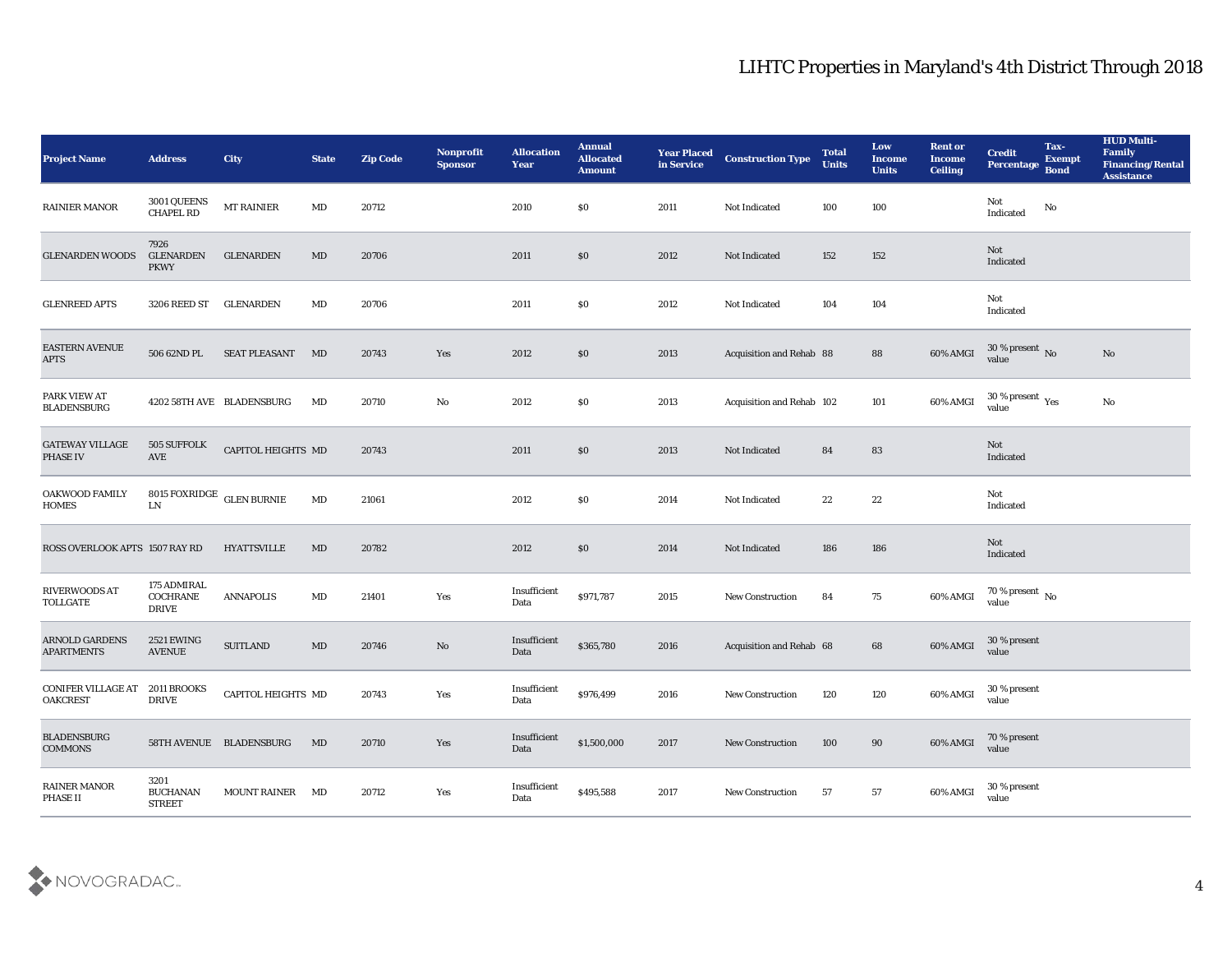| <b>Project Name</b>                          | <b>Address</b>                                 | <b>City</b>               | <b>State</b> | <b>Zip Code</b> | Nonprofit<br><b>Sponsor</b> | <b>Allocation</b><br><b>Year</b> | <b>Annual</b><br><b>Allocated</b><br><b>Amount</b> | <b>Year Placed</b><br>in Service | <b>Construction Type</b>  | <b>Total</b><br><b>Units</b> | Low<br><b>Income</b><br><b>Units</b> | <b>Rent or</b><br>Income<br><b>Ceiling</b> | <b>Credit</b><br>Percentage                   | Tax-<br><b>Exempt</b><br><b>Bond</b> | <b>HUD Multi-</b><br>Family<br><b>Financing/Rental</b><br><b>Assistance</b> |
|----------------------------------------------|------------------------------------------------|---------------------------|--------------|-----------------|-----------------------------|----------------------------------|----------------------------------------------------|----------------------------------|---------------------------|------------------------------|--------------------------------------|--------------------------------------------|-----------------------------------------------|--------------------------------------|-----------------------------------------------------------------------------|
| <b>RAINIER MANOR</b>                         | 3001 QUEENS<br><b>CHAPEL RD</b>                | MT RAINIER                | MD           | 20712           |                             | 2010                             | $\$0$                                              | 2011                             | Not Indicated             | 100                          | 100                                  |                                            | Not<br>Indicated                              | No                                   |                                                                             |
| <b>GLENARDEN WOODS</b>                       | 7926<br><b>GLENARDEN</b><br><b>PKWY</b>        | <b>GLENARDEN</b>          | MD           | 20706           |                             | 2011                             | \$0                                                | 2012                             | Not Indicated             | 152                          | 152                                  |                                            | Not<br>Indicated                              |                                      |                                                                             |
| <b>GLENREED APTS</b>                         | 3206 REED ST                                   | GLENARDEN                 | MD           | 20706           |                             | 2011                             | \$0                                                | 2012                             | Not Indicated             | 104                          | 104                                  |                                            | Not<br>Indicated                              |                                      |                                                                             |
| <b>EASTERN AVENUE</b><br><b>APTS</b>         | 506 62ND PL                                    | <b>SEAT PLEASANT</b>      | MD           | 20743           | Yes                         | 2012                             | \$0                                                | 2013                             | Acquisition and Rehab 88  |                              | 88                                   | 60% AMGI                                   | $30\%$ present No<br>value                    |                                      | No                                                                          |
| PARK VIEW AT<br><b>BLADENSBURG</b>           |                                                | 4202 58TH AVE BLADENSBURG | MD           | 20710           | No                          | 2012                             | \$0                                                | 2013                             | Acquisition and Rehab 102 |                              | 101                                  | 60% AMGI                                   | 30 % present $\,\rm \gamma_{\rm es}$<br>value |                                      | No                                                                          |
| <b>GATEWAY VILLAGE</b><br>PHASE IV           | 505 SUFFOLK<br>AVE                             | <b>CAPITOL HEIGHTS MD</b> |              | 20743           |                             | 2011                             | \$0                                                | 2013                             | Not Indicated             | 84                           | 83                                   |                                            | Not<br>Indicated                              |                                      |                                                                             |
| OAKWOOD FAMILY<br><b>HOMES</b>               | 8015 FOXRIDGE $\,$ GLEN BURNIE<br>${\rm LN}$   |                           | MD           | 21061           |                             | 2012                             | \$0                                                | 2014                             | Not Indicated             | 22                           | 22                                   |                                            | Not<br>Indicated                              |                                      |                                                                             |
| ROSS OVERLOOK APTS 1507 RAY RD               |                                                | <b>HYATTSVILLE</b>        | MD           | 20782           |                             | 2012                             | \$0                                                | 2014                             | Not Indicated             | 186                          | 186                                  |                                            | Not<br>Indicated                              |                                      |                                                                             |
| <b>RIVERWOODS AT</b><br>TOLLGATE             | 175 ADMIRAL<br><b>COCHRANE</b><br><b>DRIVE</b> | <b>ANNAPOLIS</b>          | MD           | 21401           | Yes                         | Insufficient<br>Data             | \$971,787                                          | 2015                             | <b>New Construction</b>   | 84                           | 75                                   | 60% AMGI                                   | 70 % present $\,$ No $\,$<br>value            |                                      |                                                                             |
| <b>ARNOLD GARDENS</b><br><b>APARTMENTS</b>   | <b>2521 EWING</b><br><b>AVENUE</b>             | <b>SUITLAND</b>           | MD           | 20746           | No                          | Insufficient<br>Data             | \$365,780                                          | 2016                             | Acquisition and Rehab 68  |                              | 68                                   | 60% AMGI                                   | 30 % present<br>value                         |                                      |                                                                             |
| <b>CONIFER VILLAGE AT</b><br><b>OAKCREST</b> | 2011 BROOKS<br><b>DRIVE</b>                    | CAPITOL HEIGHTS MD        |              | 20743           | Yes                         | Insufficient<br>Data             | \$976,499                                          | 2016                             | <b>New Construction</b>   | 120                          | 120                                  | 60% AMGI                                   | 30 % present<br>value                         |                                      |                                                                             |
| <b>BLADENSBURG</b><br><b>COMMONS</b>         |                                                | 58TH AVENUE BLADENSBURG   | MD           | 20710           | Yes                         | Insufficient<br>Data             | \$1,500,000                                        | 2017                             | <b>New Construction</b>   | 100                          | $90\,$                               | 60% AMGI                                   | 70 % present<br>value                         |                                      |                                                                             |
| <b>RAINER MANOR</b><br>PHASE II              | 3201<br><b>BUCHANAN</b><br><b>STREET</b>       | <b>MOUNT RAINER</b>       | MD           | 20712           | Yes                         | Insufficient<br>Data             | \$495,588                                          | 2017                             | <b>New Construction</b>   | 57                           | 57                                   | 60% AMGI                                   | 30 % present<br>value                         |                                      |                                                                             |